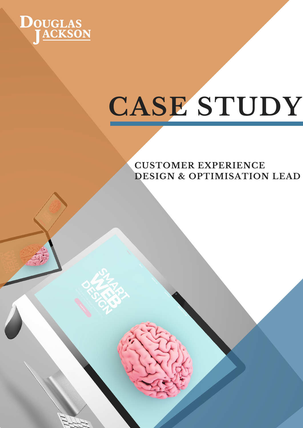

# **CASE STUDY**

**CUSTOMER EXPERIENCE DESIGN & OPTIMISATION LEAD**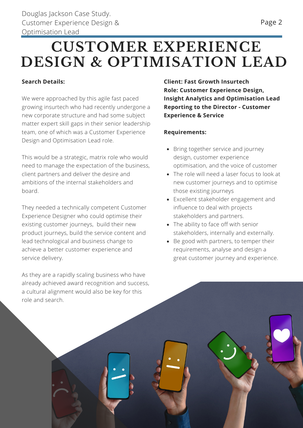# **CUSTOMER EXPERIENCE DESIGN & OPTIMISATION LEAD**

## **Search Details:**

We were approached by this agile fast paced growing insurtech who had recently undergone a new corporate structure and had some subject matter expert skill gaps in their senior leadership team, one of which was a Customer Experience Design and Optimisation Lead role.

This would be a strategic, matrix role who would need to manage the expectation of the business, client partners and deliver the desire and ambitions of the internal stakeholders and board.

They needed a technically competent Customer Experience Designer who could optimise their existing customer journeys, build their new product journeys, build the service content and lead technological and business change to achieve a better customer experience and service delivery.

As they are a rapidly scaling business who have already achieved award recognition and success, a cultural alignment would also be key for this role and search.

**Client: Fast Growth Insurtech Role: Customer Experience Design, Insight Analytics and Optimisation Lead Reporting to the Director - Customer Experience & Service**

### **Requirements:**

- Bring together service and journey design, customer experience optimisation, and the voice of customer
- The role will need a laser focus to look at new customer journeys and to optimise those existing journeys
- Excellent stakeholder engagement and influence to deal with projects stakeholders and partners.
- The ability to face off with senior stakeholders, internally and externally.
- Be good with partners, to temper their requirements, analyse and design a great customer journey and experience.